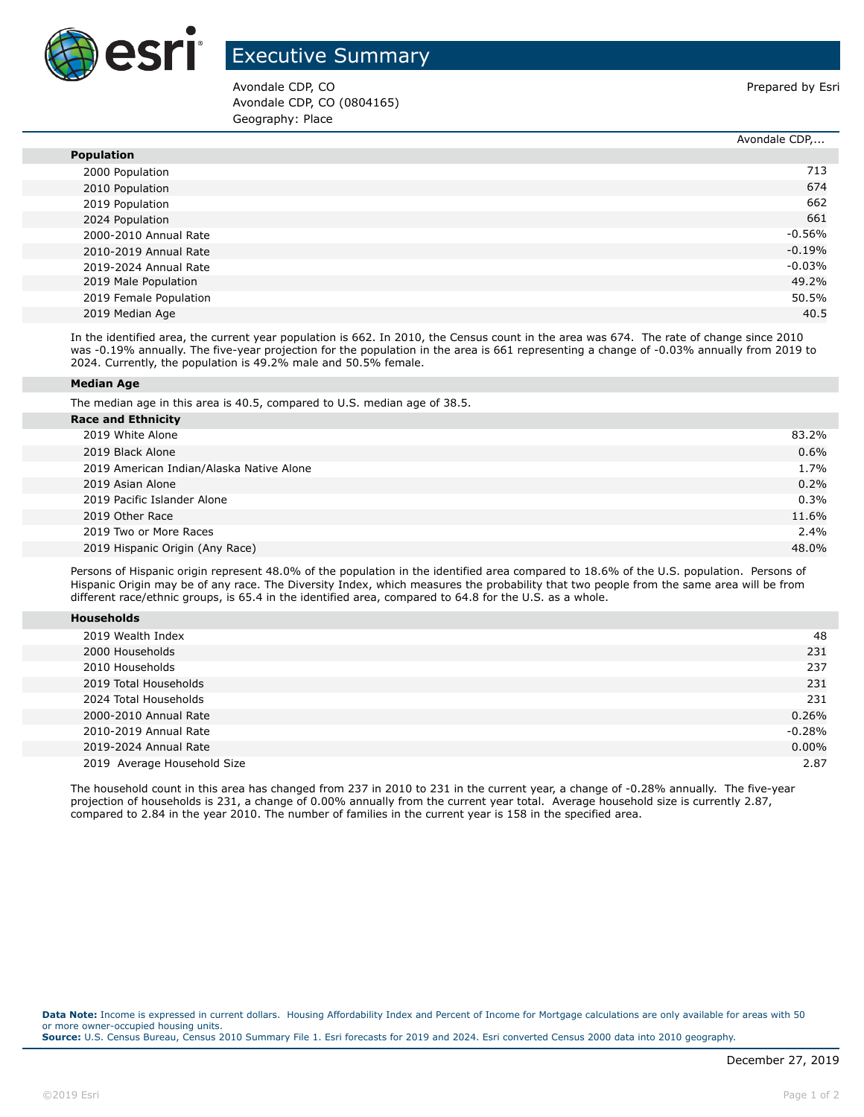

## Executive Summary

Avondale CDP, CO **Prepared by Esri** Prepared by Esri Avondale CDP, CO (0804165) Geography: Place

Avondale CDP,...

|                        | AVUIJUGIC CDF, |
|------------------------|----------------|
| <b>Population</b>      |                |
| 2000 Population        | 713            |
| 2010 Population        | 674            |
| 2019 Population        | 662            |
| 2024 Population        | 661            |
| 2000-2010 Annual Rate  | $-0.56%$       |
| 2010-2019 Annual Rate  | $-0.19%$       |
| 2019-2024 Annual Rate  | $-0.03%$       |
| 2019 Male Population   | 49.2%          |
| 2019 Female Population | 50.5%          |
| 2019 Median Age        | 40.5           |

In the identified area, the current year population is 662. In 2010, the Census count in the area was 674. The rate of change since 2010 was -0.19% annually. The five-year projection for the population in the area is 661 representing a change of -0.03% annually from 2019 to 2024. Currently, the population is 49.2% male and 50.5% female.

## **Median Age**

The median age in this area is 40.5, compared to U.S. median age of 38.5.

| <b>Race and Ethnicity</b>                |       |
|------------------------------------------|-------|
| 2019 White Alone                         | 83.2% |
| 2019 Black Alone                         | 0.6%  |
| 2019 American Indian/Alaska Native Alone | 1.7%  |
| 2019 Asian Alone                         | 0.2%  |
| 2019 Pacific Islander Alone              | 0.3%  |
| 2019 Other Race                          | 11.6% |
| 2019 Two or More Races                   | 2.4%  |
| 2019 Hispanic Origin (Any Race)          | 48.0% |
|                                          |       |

Persons of Hispanic origin represent 48.0% of the population in the identified area compared to 18.6% of the U.S. population. Persons of Hispanic Origin may be of any race. The Diversity Index, which measures the probability that two people from the same area will be from different race/ethnic groups, is 65.4 in the identified area, compared to 64.8 for the U.S. as a whole.

| <b>Households</b> |
|-------------------|
|-------------------|

| 2019 Wealth Index           | 48       |
|-----------------------------|----------|
| 2000 Households             | 231      |
| 2010 Households             | 237      |
| 2019 Total Households       | 231      |
| 2024 Total Households       | 231      |
| 2000-2010 Annual Rate       | 0.26%    |
| 2010-2019 Annual Rate       | $-0.28%$ |
| 2019-2024 Annual Rate       | $0.00\%$ |
| 2019 Average Household Size | 2.87     |

The household count in this area has changed from 237 in 2010 to 231 in the current year, a change of -0.28% annually. The five-year projection of households is 231, a change of 0.00% annually from the current year total. Average household size is currently 2.87, compared to 2.84 in the year 2010. The number of families in the current year is 158 in the specified area.

**Data Note:** Income is expressed in current dollars. Housing Affordability Index and Percent of Income for Mortgage calculations are only available for areas with 50 or more owner-occupied housing units. **Source:** U.S. Census Bureau, Census 2010 Summary File 1. Esri forecasts for 2019 and 2024. Esri converted Census 2000 data into 2010 geography.